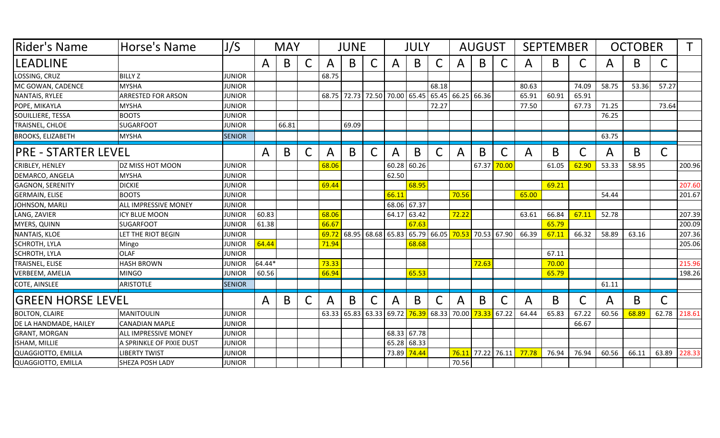| Rider's Name               | Horse's Name                | J/S           | <b>MAY</b> |       |   | <b>JUNE</b>  |       |              |              | JULY        |              |                                                 | <b>AUGUST</b> |              |              | <b>SEPTEMBER</b> |       | <b>OCTOBER</b> |       |              |        |
|----------------------------|-----------------------------|---------------|------------|-------|---|--------------|-------|--------------|--------------|-------------|--------------|-------------------------------------------------|---------------|--------------|--------------|------------------|-------|----------------|-------|--------------|--------|
| <b>LEADLINE</b>            |                             |               | A          | B     | С | $\mathsf{A}$ | B     | C            | A            | B           | C            | $\mathsf{A}$                                    | B             | C            | $\mathsf{A}$ | B.               |       | A              | B     | C            |        |
| LOSSING, CRUZ              | <b>BILLY Z</b>              | <b>JUNIOR</b> |            |       |   | 68.75        |       |              |              |             |              |                                                 |               |              |              |                  |       |                |       |              |        |
| MC GOWAN, CADENCE          | <b>MYSHA</b>                | <b>JUNIOR</b> |            |       |   |              |       |              |              |             | 68.18        |                                                 |               |              | 80.63        |                  | 74.09 | 58.75          | 53.36 | 57.27        |        |
| NANTAIS, RYLEE             | <b>ARRESTED FOR ARSON</b>   | <b>JUNIOR</b> |            |       |   |              |       |              |              |             |              | 68.75 72.73 72.50 70.00 65.45 65.45 66.25 66.36 |               |              | 65.91        | 60.91            | 65.91 |                |       |              |        |
| POPE, MIKAYLA              | <b>MYSHA</b>                | <b>JUNIOR</b> |            |       |   |              |       |              |              |             | 72.27        |                                                 |               |              | 77.50        |                  | 67.73 | 71.25          |       | 73.64        |        |
| SOUILLIERE, TESSA          | <b>BOOTS</b>                | <b>JUNIOR</b> |            |       |   |              |       |              |              |             |              |                                                 |               |              |              |                  |       | 76.25          |       |              |        |
| TRAISNEL, CHLOE            | <b>SUGARFOOT</b>            | <b>JUNIOR</b> |            | 66.81 |   |              | 69.09 |              |              |             |              |                                                 |               |              |              |                  |       |                |       |              |        |
| <b>BROOKS, ELIZABETH</b>   | <b>MYSHA</b>                | <b>SENIOR</b> |            |       |   |              |       |              |              |             |              |                                                 |               |              |              |                  |       | 63.75          |       |              |        |
| <b>PRE - STARTER LEVEL</b> |                             |               | A          | B     | C | A            | B     | $\mathsf{C}$ | $\mathsf{A}$ | B           | $\mathsf{C}$ | A                                               | B             | $\mathsf{C}$ | $\mathsf{A}$ | B                |       | $\mathsf{A}$   | B     | $\mathsf{C}$ |        |
| <b>CRIBLEY, HENLEY</b>     | DZ MISS HOT MOON            | <b>JUNIOR</b> |            |       |   | 68.06        |       |              | 60.28        | 60.26       |              |                                                 | 67.37         | 70.00        |              | 61.05            | 62.90 | 53.33          | 58.95 |              | 200.96 |
| DEMARCO, ANGELA            | <b>MYSHA</b>                | <b>JUNIOR</b> |            |       |   |              |       |              | 62.50        |             |              |                                                 |               |              |              |                  |       |                |       |              |        |
| <b>GAGNON, SERENITY</b>    | <b>DICKIE</b>               | <b>JUNIOR</b> |            |       |   | 69.44        |       |              |              | 68.95       |              |                                                 |               |              |              | 69.21            |       |                |       |              | 207.60 |
| <b>GERMAIN, ELISE</b>      | <b>BOOTS</b>                | <b>JUNIOR</b> |            |       |   |              |       |              | 66.11        |             |              | 70.56                                           |               |              | 65.00        |                  |       | 54.44          |       |              | 201.67 |
| JOHNSON, MARLI             | <b>ALL IMPRESSIVE MONEY</b> | <b>JUNIOR</b> |            |       |   |              |       |              |              | 68.06 67.37 |              |                                                 |               |              |              |                  |       |                |       |              |        |
| LANG, ZAVIER               | <b>ICY BLUE MOON</b>        | <b>JUNIOR</b> | 60.83      |       |   | 68.06        |       |              | 64.17        | 63.42       |              | 72.22                                           |               |              | 63.61        | 66.84            | 67.11 | 52.78          |       |              | 207.39 |
| <b>MYERS, QUINN</b>        | <b>SUGARFOOT</b>            | <b>JUNIOR</b> | 61.38      |       |   | 66.67        |       |              |              | 67.63       |              |                                                 |               |              |              | 65.79            |       |                |       |              | 200.09 |
| NANTAIS, KLOE              | LET THE RIOT BEGIN          | <b>JUNIOR</b> |            |       |   | 69.72        |       | 68.95 68.68  | 65.83        |             | 65.79 66.05  | 70.53                                           | 70.53         | 67.90        | 66.39        | 67.11            | 66.32 | 58.89          | 63.16 |              | 207.36 |
| <b>SCHROTH, LYLA</b>       | Mingo                       | <b>JUNIOR</b> | 64.44      |       |   | 71.94        |       |              |              | 68.68       |              |                                                 |               |              |              |                  |       |                |       |              | 205.06 |
| <b>SCHROTH, LYLA</b>       | <b>OLAF</b>                 | <b>JUNIOR</b> |            |       |   |              |       |              |              |             |              |                                                 |               |              |              | 67.11            |       |                |       |              |        |
| TRAISNEL, ELISE            | <b>HASH BROWN</b>           | <b>JUNIOR</b> | 64.44*     |       |   | 73.33        |       |              |              |             |              |                                                 | 72.63         |              |              | 70.00            |       |                |       |              | 215.96 |
| <b>VERBEEM, AMELIA</b>     | <b>MINGO</b>                | <b>JUNIOR</b> | 60.56      |       |   | 66.94        |       |              |              | 65.53       |              |                                                 |               |              |              | 65.79            |       |                |       |              | 198.26 |
| COTE, AINSLEE              | <b>ARISTOTLE</b>            | <b>SENIOR</b> |            |       |   |              |       |              |              |             |              |                                                 |               |              |              |                  |       | 61.11          |       |              |        |
| <b>GREEN HORSE LEVEL</b>   |                             |               | A          | B     | C | A            | B     | C            | A            | B           | $\mathsf C$  | A                                               | B             | $\mathsf C$  | A            | B                |       | A              | B     | $\mathsf C$  |        |
| <b>BOLTON, CLAIRE</b>      | MANITOULIN                  | <b>JUNIOR</b> |            |       |   | 63.33        | 65.83 | 63.33        | 69.72        | 76.39       | 68.33        | 70.00                                           | 73.33         | 67.22        | 64.44        | 65.83            | 67.22 | 60.56          | 68.89 | 62.78        | 218.61 |
| DE LA HANDMADE, HAILEY     | <b>CANADIAN MAPLE</b>       | <b>JUNIOR</b> |            |       |   |              |       |              |              |             |              |                                                 |               |              |              |                  | 66.67 |                |       |              |        |
| <b>GRANT, MORGAN</b>       | <b>ALL IMPRESSIVE MONEY</b> | <b>JUNIOR</b> |            |       |   |              |       |              |              | 68.33 67.78 |              |                                                 |               |              |              |                  |       |                |       |              |        |
| ISHAM, MILLIE              | A SPRINKLE OF PIXIE DUST    | <b>JUNIOR</b> |            |       |   |              |       |              | 65.28        | 68.33       |              |                                                 |               |              |              |                  |       |                |       |              |        |
| QUAGGIOTTO, EMILLA         | <b>LIBERTY TWIST</b>        | <b>JUNIOR</b> |            |       |   |              |       |              | 73.89        | 74.44       |              | 76.11                                           | 77.22         | 76.11        | 77.78        | 76.94            | 76.94 | 60.56          | 66.11 | 63.89        | 228.33 |
| QUAGGIOTTO, EMILLA         | <b>SHEZA POSH LADY</b>      | <b>JUNIOR</b> |            |       |   |              |       |              |              |             |              | 70.56                                           |               |              |              |                  |       |                |       |              |        |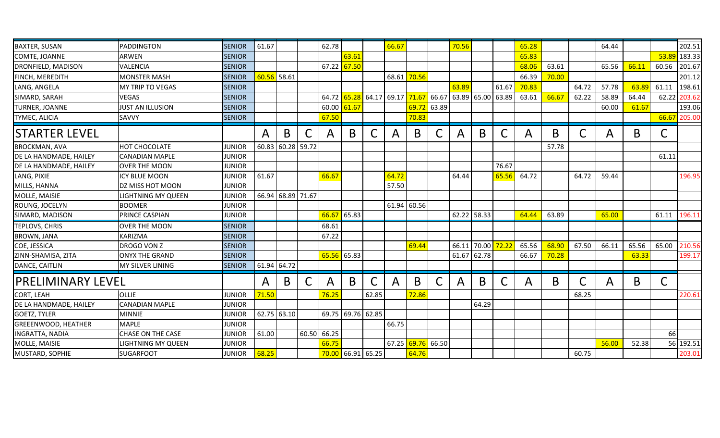| <b>BAXTER, SUSAN</b>       | PADDINGTON                | <b>SENIOR</b> | 61.67 |             |       | 62.78        |                   |               | 66.67       |               |             | 70.56        |                   |       | 65.28 |       |       | 64.44 |       |       | 202.51 |
|----------------------------|---------------------------|---------------|-------|-------------|-------|--------------|-------------------|---------------|-------------|---------------|-------------|--------------|-------------------|-------|-------|-------|-------|-------|-------|-------|--------|
| COMTE, JOANNE              | <b>ARWEN</b>              | <b>SENIOR</b> |       |             |       |              | 63.61             |               |             |               |             |              |                   |       | 65.83 |       |       |       |       | 53.89 | 183.33 |
| DRONFIELD, MADISON         | <b>VALENCIA</b>           | <b>SENIOR</b> |       |             |       | 67.22        | 67.50             |               |             |               |             |              |                   |       | 68.06 | 63.61 |       | 65.56 | 66.11 | 60.56 | 201.67 |
| FINCH, MEREDITH            | <b>MONSTER MASH</b>       | <b>SENIOR</b> | 60.56 | 58.61       |       |              |                   |               |             | 68.61 70.56   |             |              |                   |       | 66.39 | 70.00 |       |       |       |       | 201.12 |
| LANG, ANGELA               | MY TRIP TO VEGAS          | <b>SENIOR</b> |       |             |       |              |                   |               |             |               |             | 63.89        |                   | 61.67 | 70.83 |       | 64.72 | 57.78 | 63.89 | 61.11 | 198.61 |
| SIMARD, SARAH              | <b>VEGAS</b>              | <b>SENIOR</b> |       |             |       | 64.72        |                   | $65.28$ 64.17 | 69.17 71.67 |               | 66.67       |              | 63.89 65.00 63.89 |       | 63.61 | 66.67 | 62.22 | 58.89 | 64.44 | 62.22 | 203.62 |
| TURNER, JOANNE             | <b>JUST AN ILLUSION</b>   | <b>SENIOR</b> |       |             |       | 60.00        | 61.67             |               |             | 69.72         | 63.89       |              |                   |       |       |       |       | 60.00 | 61.67 |       | 193.06 |
| <b>TYMEC, ALICIA</b>       | SAVVY                     | <b>SENIOR</b> |       |             |       | 67.50        |                   |               |             | 70.83         |             |              |                   |       |       |       |       |       |       | 66.67 | 205.00 |
| <b>STARTER LEVEL</b>       |                           |               | A     | B           | С     | $\mathsf{A}$ | B                 | C             | A           | B             | $\mathsf C$ | $\mathsf{A}$ | B                 | C     | A     | B.    |       | A     | B.    |       |        |
| <b>BROCKMAN, AVA</b>       | HOT CHOCOLATE             | <b>JUNIOR</b> | 60.83 | 60.28 59.72 |       |              |                   |               |             |               |             |              |                   |       |       | 57.78 |       |       |       |       |        |
| DE LA HANDMADE, HAILEY     | <b>CANADIAN MAPLE</b>     | <b>JUNIOR</b> |       |             |       |              |                   |               |             |               |             |              |                   |       |       |       |       |       |       | 61.11 |        |
| DE LA HANDMADE, HAILEY     | <b>OVER THE MOON</b>      | <b>JUNIOR</b> |       |             |       |              |                   |               |             |               |             |              |                   | 76.67 |       |       |       |       |       |       |        |
| LANG, PIXIE                | <b>ICY BLUE MOON</b>      | <b>JUNIOR</b> | 61.67 |             |       | 66.67        |                   |               | 64.72       |               |             | 64.44        |                   | 65.56 | 64.72 |       | 64.72 | 59.44 |       |       | 196.95 |
| MILLS, HANNA               | <b>DZ MISS HOT MOON</b>   | <b>JUNIOR</b> |       |             |       |              |                   |               | 57.50       |               |             |              |                   |       |       |       |       |       |       |       |        |
| MOLLE, MAISIE              | <b>LIGHTNING MY QUEEN</b> | <b>JUNIOR</b> | 66.94 | 68.89 71.67 |       |              |                   |               |             |               |             |              |                   |       |       |       |       |       |       |       |        |
| ROUNG, JOCELYN             | <b>BOOMER</b>             | <b>JUNIOR</b> |       |             |       |              |                   |               | 61.94       | 60.56         |             |              |                   |       |       |       |       |       |       |       |        |
| SIMARD, MADISON            | <b>PRINCE CASPIAN</b>     | <b>JUNIOR</b> |       |             |       | 66.67        | 65.83             |               |             |               |             |              | 62.22 58.33       |       | 64.44 | 63.89 |       | 65.00 |       | 61.11 | 196.11 |
| TEPLOVS, CHRIS             | <b>OVER THE MOON</b>      | <b>SENIOR</b> |       |             |       | 68.61        |                   |               |             |               |             |              |                   |       |       |       |       |       |       |       |        |
| <b>BROWN, JANA</b>         | <b>KARIZMA</b>            | <b>SENIOR</b> |       |             |       | 67.22        |                   |               |             |               |             |              |                   |       |       |       |       |       |       |       |        |
| COE, JESSICA               | DROGO VON Z               | <b>SENIOR</b> |       |             |       |              |                   |               |             | 69.44         |             | 66.11        | 70.00             | 72.22 | 65.56 | 68.90 | 67.50 | 66.11 | 65.56 | 65.00 | 210.56 |
| ZINN-SHAMISA, ZITA         | <b>ONYX THE GRAND</b>     | <b>SENIOR</b> |       |             |       | 65.56        | 65.83             |               |             |               |             | 61.67        | 62.78             |       | 66.67 | 70.28 |       |       | 63.33 |       | 199.17 |
| DANCE, CAITLIN             | MY SILVER LINING          | <b>SENIOR</b> | 61.94 | 64.72       |       |              |                   |               |             |               |             |              |                   |       |       |       |       |       |       |       |        |
| <b>PRELIMINARY LEVEL</b>   |                           |               | A     | B           | C     | A            | B.                | C             | A           | B             | C           | A            | B                 | C     | A     | B     |       | A     | B     |       |        |
| CORT, LEAH                 | <b>OLLIE</b>              | <b>JUNIOR</b> | 71.50 |             |       | 76.25        |                   | 62.85         |             | 72.86         |             |              |                   |       |       |       | 68.25 |       |       |       | 220.61 |
| DE LA HANDMADE, HAILEY     | <b>CANADIAN MAPLE</b>     | <b>JUNIOR</b> |       |             |       |              |                   |               |             |               |             |              | 64.29             |       |       |       |       |       |       |       |        |
| <b>GOETZ, TYLER</b>        | <b>MINNIE</b>             | <b>JUNIOR</b> | 62.75 | 63.10       |       |              | 69.75 69.76 62.85 |               |             |               |             |              |                   |       |       |       |       |       |       |       |        |
| <b>GREEENWOOD, HEATHER</b> | <b>MAPLE</b>              | <b>JUNIOR</b> |       |             |       |              |                   |               | 66.75       |               |             |              |                   |       |       |       |       |       |       |       |        |
| <b>INGRATTA, NADIA</b>     | CHASE ON THE CASE         | <b>JUNIOR</b> | 61.00 |             | 60.50 | 66.25        |                   |               |             |               |             |              |                   |       |       |       |       |       |       | 66    |        |
| MOLLE, MAISIE              | <b>LIGHTNING MY QUEEN</b> | <b>JUNIOR</b> |       |             |       | 66.75        |                   |               |             | $67.25$ 69.76 | 66.50       |              |                   |       |       |       |       | 56.00 | 52.38 | 56    | 192.51 |
| MUSTARD, SOPHIE            | <b>SUGARFOOT</b>          | <b>JUNIOR</b> | 68.25 |             |       |              | 70.00 66.91 65.25 |               |             | 64.76         |             |              |                   |       |       |       | 60.75 |       |       |       | 203.01 |